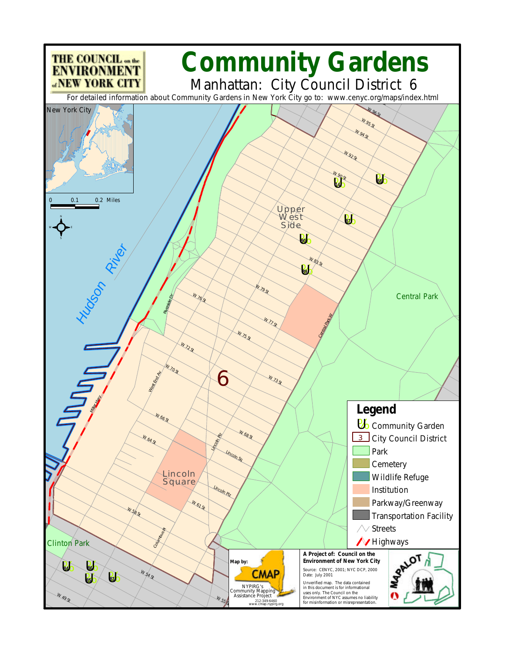